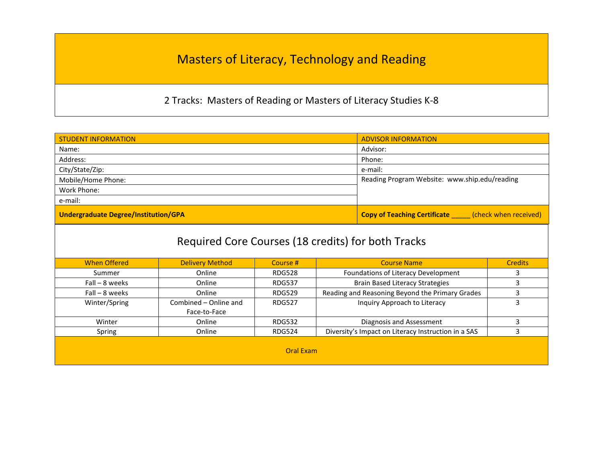## Masters of Literacy, Technology and Reading

2 Tracks: Masters of Reading or Masters of Literacy Studies K-8

| <b>STUDENT INFORMATION</b>                         |                        |                  |                                                           | <b>ADVISOR INFORMATION</b> |                |
|----------------------------------------------------|------------------------|------------------|-----------------------------------------------------------|----------------------------|----------------|
| Name:                                              |                        |                  | Advisor:                                                  |                            |                |
| Address:                                           |                        |                  | Phone:                                                    |                            |                |
| City/State/Zip:                                    |                        |                  | e-mail:                                                   |                            |                |
| Mobile/Home Phone:                                 |                        |                  | Reading Program Website: www.ship.edu/reading             |                            |                |
| Work Phone:                                        |                        |                  |                                                           |                            |                |
| e-mail:                                            |                        |                  |                                                           |                            |                |
| <b>Undergraduate Degree/Institution/GPA</b>        |                        |                  | <b>Copy of Teaching Certificate</b> (check when received) |                            |                |
| Required Core Courses (18 credits) for both Tracks |                        |                  |                                                           |                            |                |
| <b>When Offered</b>                                | <b>Delivery Method</b> | Course #         | <b>Course Name</b>                                        |                            | <b>Credits</b> |
| Summer                                             | Online                 | <b>RDG528</b>    | Foundations of Literacy Development<br>3                  |                            |                |
| $Fall - 8 weeks$                                   | Online                 | <b>RDG537</b>    | 3<br><b>Brain Based Literacy Strategies</b>               |                            |                |
| $Fall - 8 weeks$                                   | Online                 | <b>RDG529</b>    | Reading and Reasoning Beyond the Primary Grades<br>3      |                            |                |
| Winter/Spring                                      | Combined - Online and  | <b>RDG527</b>    | 3<br>Inquiry Approach to Literacy                         |                            |                |
|                                                    | Face-to-Face           |                  |                                                           |                            |                |
| Winter                                             | Online                 | <b>RDG532</b>    | 3<br>Diagnosis and Assessment                             |                            |                |
| Spring                                             | Online                 | <b>RDG524</b>    | Diversity's Impact on Literacy Instruction in a SAS<br>3  |                            |                |
|                                                    |                        | <b>Oral Exam</b> |                                                           |                            |                |